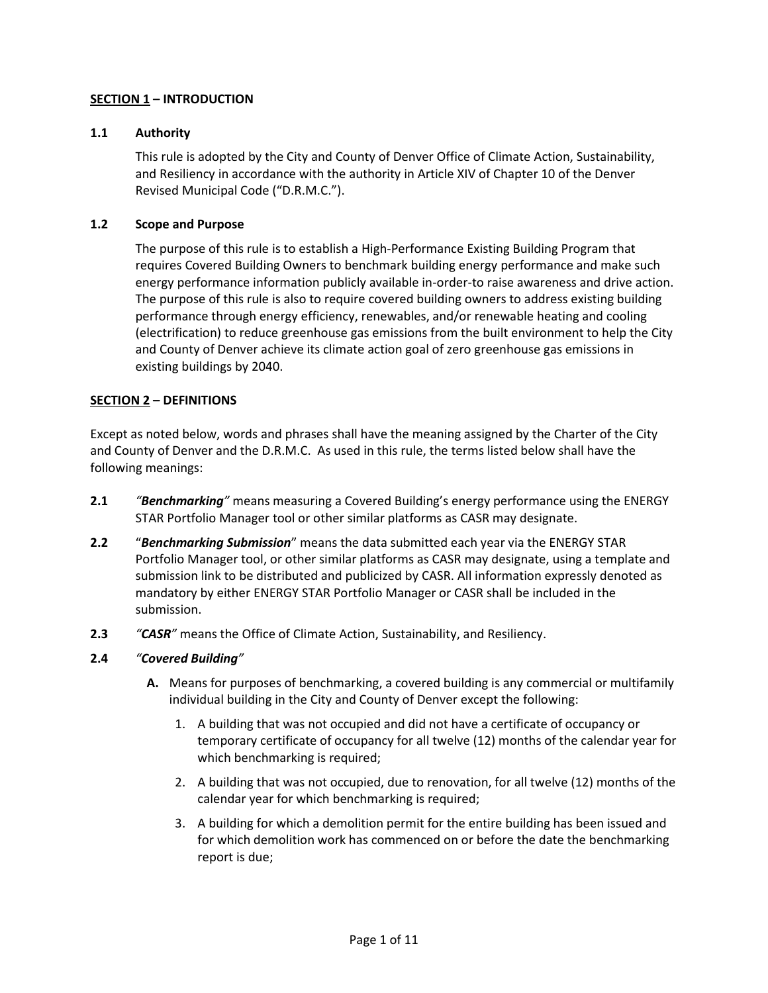# **SECTION 1 – INTRODUCTION**

## **1.1 Authority**

This rule is adopted by the City and County of Denver Office of Climate Action, Sustainability, and Resiliency in accordance with the authority in Article XIV of Chapter 10 of the Denver Revised Municipal Code ("D.R.M.C.").

## **1.2 Scope and Purpose**

The purpose of this rule is to establish a High-Performance Existing Building Program that requires Covered Building Owners to benchmark building energy performance and make such energy performance information publicly available in-order-to raise awareness and drive action. The purpose of this rule is also to require covered building owners to address existing building performance through energy efficiency, renewables, and/or renewable heating and cooling (electrification) to reduce greenhouse gas emissions from the built environment to help the City and County of Denver achieve its climate action goal of zero greenhouse gas emissions in existing buildings by 2040.

# **SECTION 2 – DEFINITIONS**

Except as noted below, words and phrases shall have the meaning assigned by the Charter of the City and County of Denver and the D.R.M.C. As used in this rule, the terms listed below shall have the following meanings:

- **2.1** *"Benchmarking"* means measuring a Covered Building's energy performance using the ENERGY STAR Portfolio Manager tool or other similar platforms as CASR may designate.
- **2.2** "*Benchmarking Submission*" means the data submitted each year via the ENERGY STAR Portfolio Manager tool, or other similar platforms as CASR may designate, using a template and submission link to be distributed and publicized by CASR. All information expressly denoted as mandatory by either ENERGY STAR Portfolio Manager or CASR shall be included in the submission.
- **2.3** *"CASR"* means the Office of Climate Action, Sustainability, and Resiliency.

## **2.4** *"Covered Building"*

- **A.** Means for purposes of benchmarking, a covered building is any commercial or multifamily individual building in the City and County of Denver except the following:
	- 1. A building that was not occupied and did not have a certificate of occupancy or temporary certificate of occupancy for all twelve (12) months of the calendar year for which benchmarking is required;
	- 2. A building that was not occupied, due to renovation, for all twelve (12) months of the calendar year for which benchmarking is required;
	- 3. A building for which a demolition permit for the entire building has been issued and for which demolition work has commenced on or before the date the benchmarking report is due;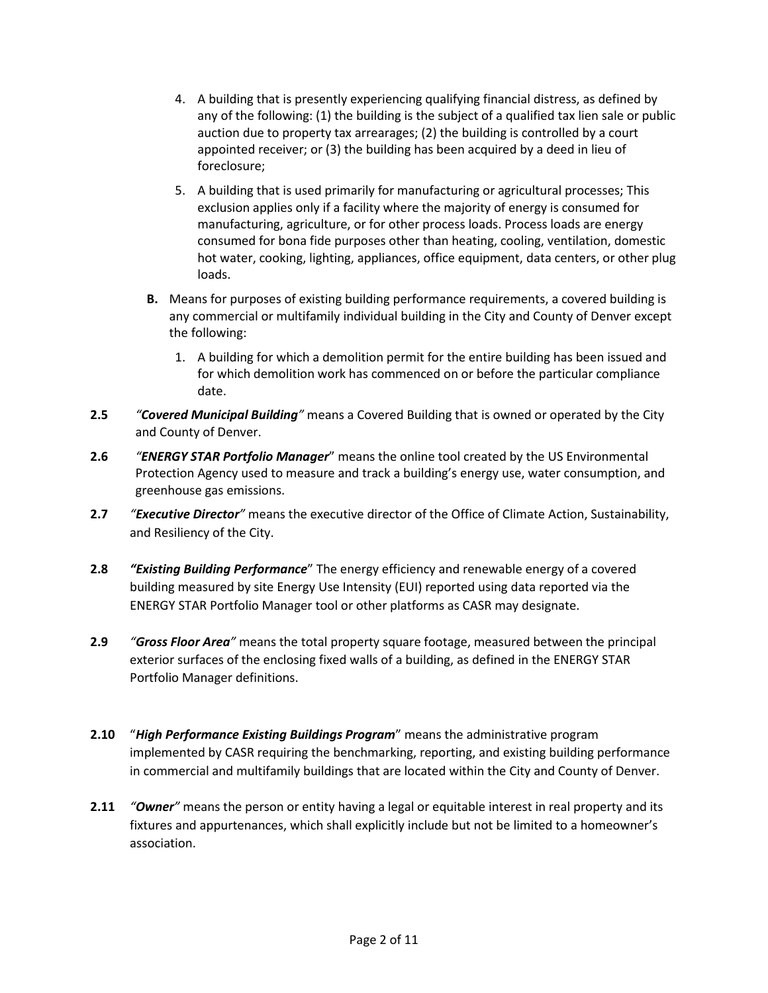- 4. A building that is presently experiencing qualifying financial distress, as defined by any of the following: (1) the building is the subject of a qualified tax lien sale or public auction due to property tax arrearages; (2) the building is controlled by a court appointed receiver; or (3) the building has been acquired by a deed in lieu of foreclosure;
- 5. A building that is used primarily for manufacturing or agricultural processes; This exclusion applies only if a facility where the majority of energy is consumed for manufacturing, agriculture, or for other process loads. Process loads are energy consumed for bona fide purposes other than heating, cooling, ventilation, domestic hot water, cooking, lighting, appliances, office equipment, data centers, or other plug loads.
- **B.** Means for purposes of existing building performance requirements, a covered building is any commercial or multifamily individual building in the City and County of Denver except the following:
	- 1. A building for which a demolition permit for the entire building has been issued and for which demolition work has commenced on or before the particular compliance date.
- **2.5** *"Covered Municipal Building"* means a Covered Building that is owned or operated by the City and County of Denver.
- **2.6** *"ENERGY STAR Portfolio Manager*" means the online tool created by the US Environmental Protection Agency used to measure and track a building's energy use, water consumption, and greenhouse gas emissions.
- **2.7** *"Executive Director"* means the executive director of the Office of Climate Action, Sustainability, and Resiliency of the City.
- **2.8** *"Existing Building Performance*" The energy efficiency and renewable energy of a covered building measured by site Energy Use Intensity (EUI) reported using data reported via the ENERGY STAR Portfolio Manager tool or other platforms as CASR may designate.
- **2.9** *"Gross Floor Area"* means the total property square footage, measured between the principal exterior surfaces of the enclosing fixed walls of a building, as defined in the ENERGY STAR Portfolio Manager definitions.
- **2.10** "*High Performance Existing Buildings Program*" means the administrative program implemented by CASR requiring the benchmarking, reporting, and existing building performance in commercial and multifamily buildings that are located within the City and County of Denver.
- **2.11** *"Owner"* means the person or entity having a legal or equitable interest in real property and its fixtures and appurtenances, which shall explicitly include but not be limited to a homeowner's association.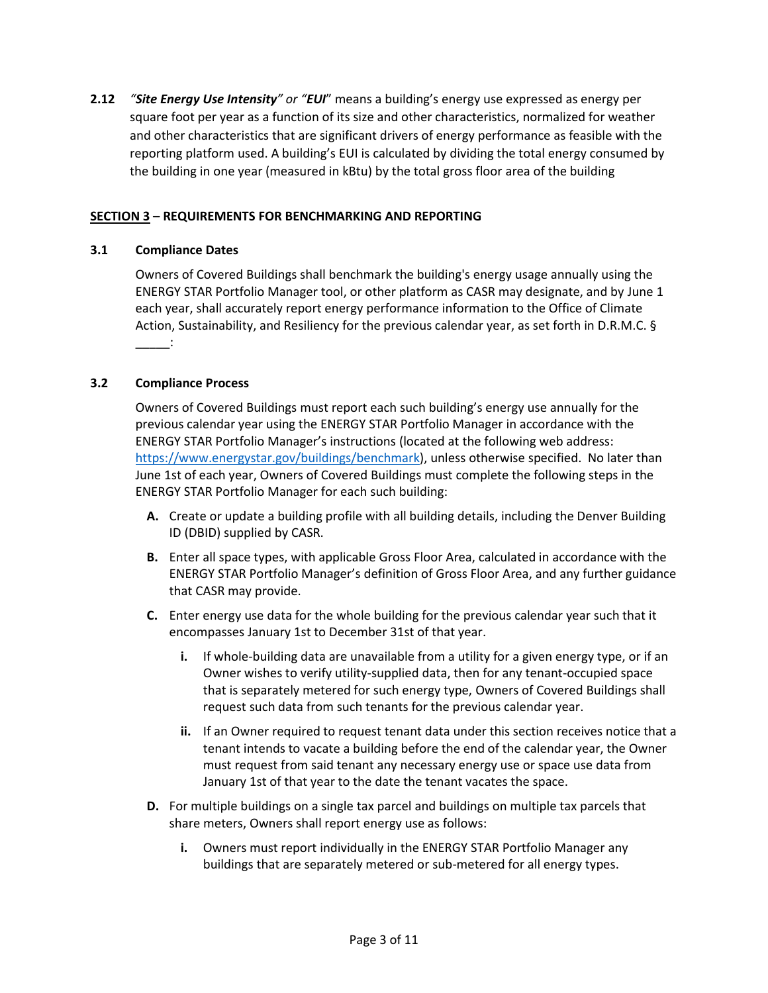**2.12** *"Site Energy Use Intensity" or "EUI*" means a building's energy use expressed as energy per square foot per year as a function of its size and other characteristics, normalized for weather and other characteristics that are significant drivers of energy performance as feasible with the reporting platform used. A building's EUI is calculated by dividing the total energy consumed by the building in one year (measured in kBtu) by the total gross floor area of the building

# **SECTION 3 – REQUIREMENTS FOR BENCHMARKING AND REPORTING**

## **3.1 Compliance Dates**

Owners of Covered Buildings shall benchmark the building's energy usage annually using the ENERGY STAR Portfolio Manager tool, or other platform as CASR may designate, and by June 1 each year, shall accurately report energy performance information to the Office of Climate Action, Sustainability, and Resiliency for the previous calendar year, as set forth in D.R.M.C. §  $\sim$   $\sim$   $\sim$   $\sim$ 

#### **3.2 Compliance Process**

Owners of Covered Buildings must report each such building's energy use annually for the previous calendar year using the ENERGY STAR Portfolio Manager in accordance with the ENERGY STAR Portfolio Manager's instructions (located at the following web address: [https://www.energystar.gov/buildings/benchmark\)](https://www.energystar.gov/buildings/benchmark), unless otherwise specified. No later than June 1st of each year, Owners of Covered Buildings must complete the following steps in the ENERGY STAR Portfolio Manager for each such building:

- **A.** Create or update a building profile with all building details, including the Denver Building ID (DBID) supplied by CASR.
- **B.** Enter all space types, with applicable Gross Floor Area, calculated in accordance with the ENERGY STAR Portfolio Manager's definition of Gross Floor Area, and any further guidance that CASR may provide.
- **C.** Enter energy use data for the whole building for the previous calendar year such that it encompasses January 1st to December 31st of that year.
	- **i.** If whole-building data are unavailable from a utility for a given energy type, or if an Owner wishes to verify utility-supplied data, then for any tenant-occupied space that is separately metered for such energy type, Owners of Covered Buildings shall request such data from such tenants for the previous calendar year.
	- **ii.** If an Owner required to request tenant data under this section receives notice that a tenant intends to vacate a building before the end of the calendar year, the Owner must request from said tenant any necessary energy use or space use data from January 1st of that year to the date the tenant vacates the space.
- **D.** For multiple buildings on a single tax parcel and buildings on multiple tax parcels that share meters, Owners shall report energy use as follows:
	- **i.** Owners must report individually in the ENERGY STAR Portfolio Manager any buildings that are separately metered or sub-metered for all energy types.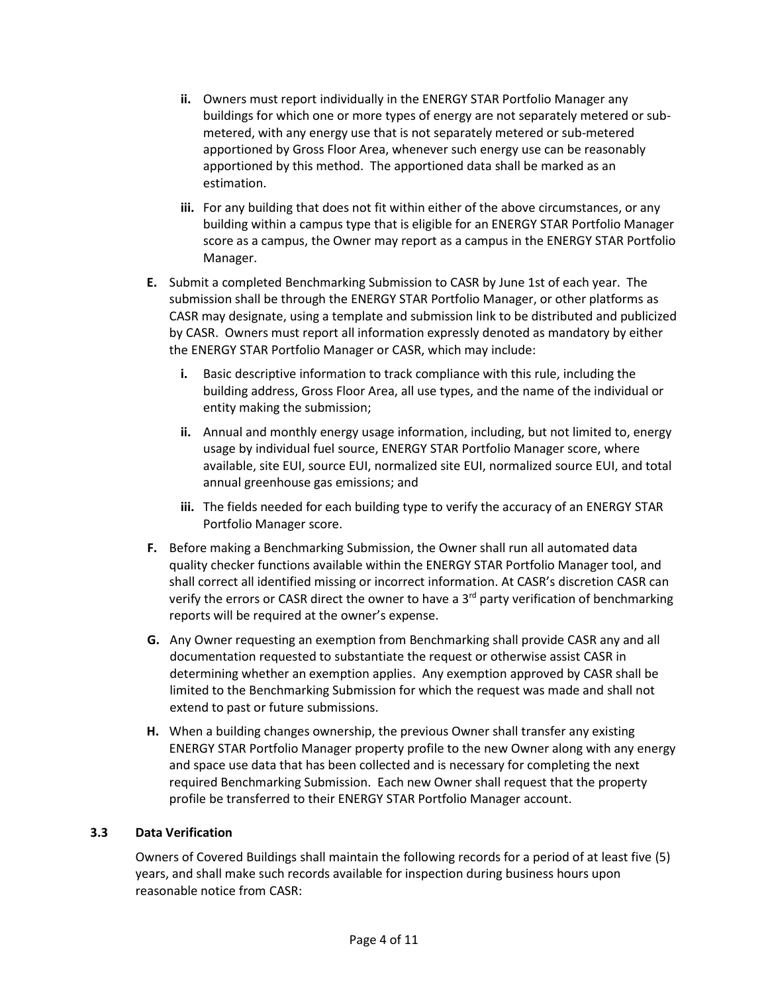- **ii.** Owners must report individually in the ENERGY STAR Portfolio Manager any buildings for which one or more types of energy are not separately metered or submetered, with any energy use that is not separately metered or sub-metered apportioned by Gross Floor Area, whenever such energy use can be reasonably apportioned by this method. The apportioned data shall be marked as an estimation.
- **iii.** For any building that does not fit within either of the above circumstances, or any building within a campus type that is eligible for an ENERGY STAR Portfolio Manager score as a campus, the Owner may report as a campus in the ENERGY STAR Portfolio Manager.
- **E.** Submit a completed Benchmarking Submission to CASR by June 1st of each year. The submission shall be through the ENERGY STAR Portfolio Manager, or other platforms as CASR may designate, using a template and submission link to be distributed and publicized by CASR. Owners must report all information expressly denoted as mandatory by either the ENERGY STAR Portfolio Manager or CASR, which may include:
	- **i.** Basic descriptive information to track compliance with this rule, including the building address, Gross Floor Area, all use types, and the name of the individual or entity making the submission;
	- **ii.** Annual and monthly energy usage information, including, but not limited to, energy usage by individual fuel source, ENERGY STAR Portfolio Manager score, where available, site EUI, source EUI, normalized site EUI, normalized source EUI, and total annual greenhouse gas emissions; and
	- **iii.** The fields needed for each building type to verify the accuracy of an ENERGY STAR Portfolio Manager score.
- **F.** Before making a Benchmarking Submission, the Owner shall run all automated data quality checker functions available within the ENERGY STAR Portfolio Manager tool, and shall correct all identified missing or incorrect information. At CASR's discretion CASR can verify the errors or CASR direct the owner to have a 3<sup>rd</sup> party verification of benchmarking reports will be required at the owner's expense.
- **G.** Any Owner requesting an exemption from Benchmarking shall provide CASR any and all documentation requested to substantiate the request or otherwise assist CASR in determining whether an exemption applies. Any exemption approved by CASR shall be limited to the Benchmarking Submission for which the request was made and shall not extend to past or future submissions.
- **H.** When a building changes ownership, the previous Owner shall transfer any existing ENERGY STAR Portfolio Manager property profile to the new Owner along with any energy and space use data that has been collected and is necessary for completing the next required Benchmarking Submission. Each new Owner shall request that the property profile be transferred to their ENERGY STAR Portfolio Manager account.

## **3.3 Data Verification**

Owners of Covered Buildings shall maintain the following records for a period of at least five (5) years, and shall make such records available for inspection during business hours upon reasonable notice from CASR: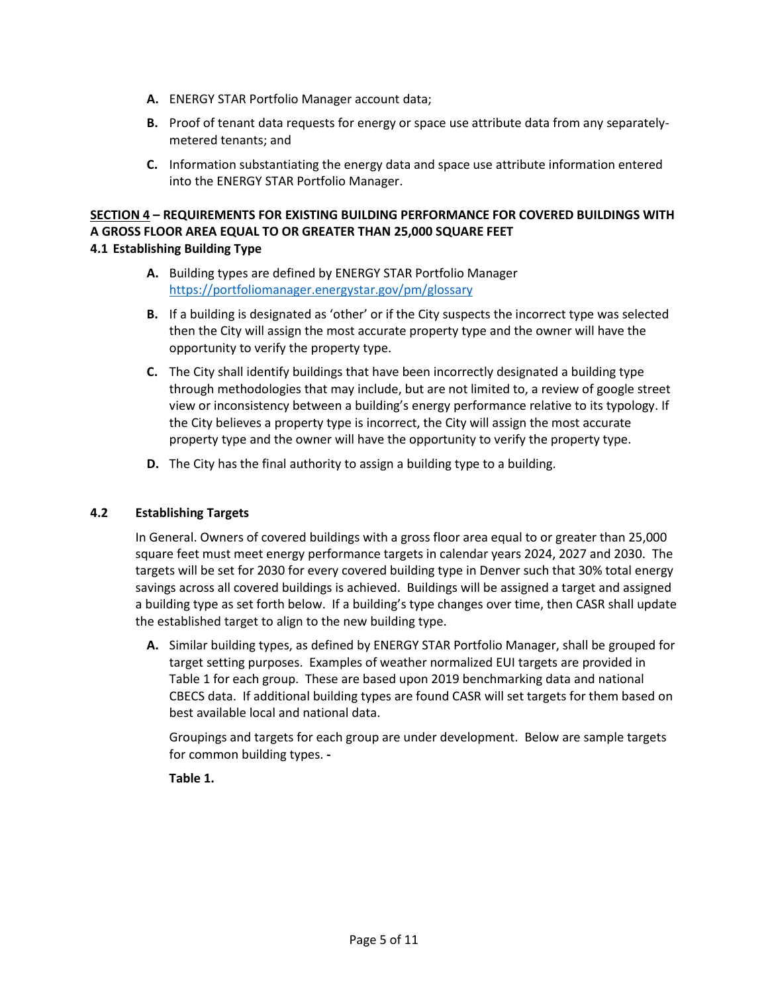- **A.** ENERGY STAR Portfolio Manager account data;
- **B.** Proof of tenant data requests for energy or space use attribute data from any separatelymetered tenants; and
- **C.** Information substantiating the energy data and space use attribute information entered into the ENERGY STAR Portfolio Manager.

# **SECTION 4 – REQUIREMENTS FOR EXISTING BUILDING PERFORMANCE FOR COVERED BUILDINGS WITH A GROSS FLOOR AREA EQUAL TO OR GREATER THAN 25,000 SQUARE FEET 4.1 Establishing Building Type**

- **A.** Building types are defined by ENERGY STAR Portfolio Manager <https://portfoliomanager.energystar.gov/pm/glossary>
- **B.** If a building is designated as 'other' or if the City suspects the incorrect type was selected then the City will assign the most accurate property type and the owner will have the opportunity to verify the property type.
- **C.** The City shall identify buildings that have been incorrectly designated a building type through methodologies that may include, but are not limited to, a review of google street view or inconsistency between a building's energy performance relative to its typology. If the City believes a property type is incorrect, the City will assign the most accurate property type and the owner will have the opportunity to verify the property type.
- **D.** The City has the final authority to assign a building type to a building.

# **4.2 Establishing Targets**

In General. Owners of covered buildings with a gross floor area equal to or greater than 25,000 square feet must meet energy performance targets in calendar years 2024, 2027 and 2030. The targets will be set for 2030 for every covered building type in Denver such that 30% total energy savings across all covered buildings is achieved. Buildings will be assigned a target and assigned a building type as set forth below. If a building's type changes over time, then CASR shall update the established target to align to the new building type.

**A.** Similar building types, as defined by ENERGY STAR Portfolio Manager, shall be grouped for target setting purposes. Examples of weather normalized EUI targets are provided in Table 1 for each group. These are based upon 2019 benchmarking data and national CBECS data. If additional building types are found CASR will set targets for them based on best available local and national data.

Groupings and targets for each group are under development. Below are sample targets for common building types. **-**

**Table 1.**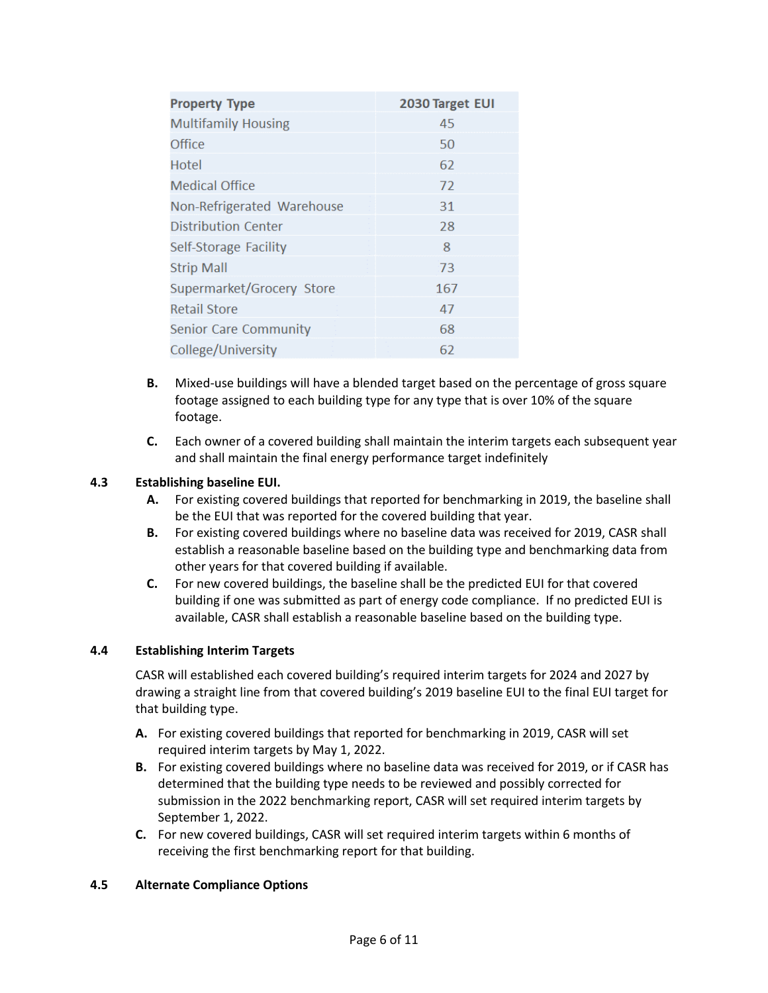| <b>Property Type</b>       | 2030 Target EUI |
|----------------------------|-----------------|
| <b>Multifamily Housing</b> | 45              |
| Office                     | 50              |
| Hotel                      | 62              |
| Medical Office             | 72              |
| Non-Refrigerated Warehouse | 31              |
| Distribution Center        | 28              |
| Self-Storage Facility      | 8               |
| <b>Strip Mall</b>          | 73              |
| Supermarket/Grocery Store  | 167             |
| <b>Retail Store</b>        | 47              |
| Senior Care Community      | 68              |
| College/University         | 62              |

- **B.** Mixed-use buildings will have a blended target based on the percentage of gross square footage assigned to each building type for any type that is over 10% of the square footage.
- **C.** Each owner of a covered building shall maintain the interim targets each subsequent year and shall maintain the final energy performance target indefinitely

# **4.3 Establishing baseline EUI.**

- **A.** For existing covered buildings that reported for benchmarking in 2019, the baseline shall be the EUI that was reported for the covered building that year.
- **B.** For existing covered buildings where no baseline data was received for 2019, CASR shall establish a reasonable baseline based on the building type and benchmarking data from other years for that covered building if available.
- **C.** For new covered buildings, the baseline shall be the predicted EUI for that covered building if one was submitted as part of energy code compliance. If no predicted EUI is available, CASR shall establish a reasonable baseline based on the building type.

## **4.4 Establishing Interim Targets**

CASR will established each covered building's required interim targets for 2024 and 2027 by drawing a straight line from that covered building's 2019 baseline EUI to the final EUI target for that building type.

- **A.** For existing covered buildings that reported for benchmarking in 2019, CASR will set required interim targets by May 1, 2022.
- **B.** For existing covered buildings where no baseline data was received for 2019, or if CASR has determined that the building type needs to be reviewed and possibly corrected for submission in the 2022 benchmarking report, CASR will set required interim targets by September 1, 2022.
- **C.** For new covered buildings, CASR will set required interim targets within 6 months of receiving the first benchmarking report for that building.

## **4.5 Alternate Compliance Options**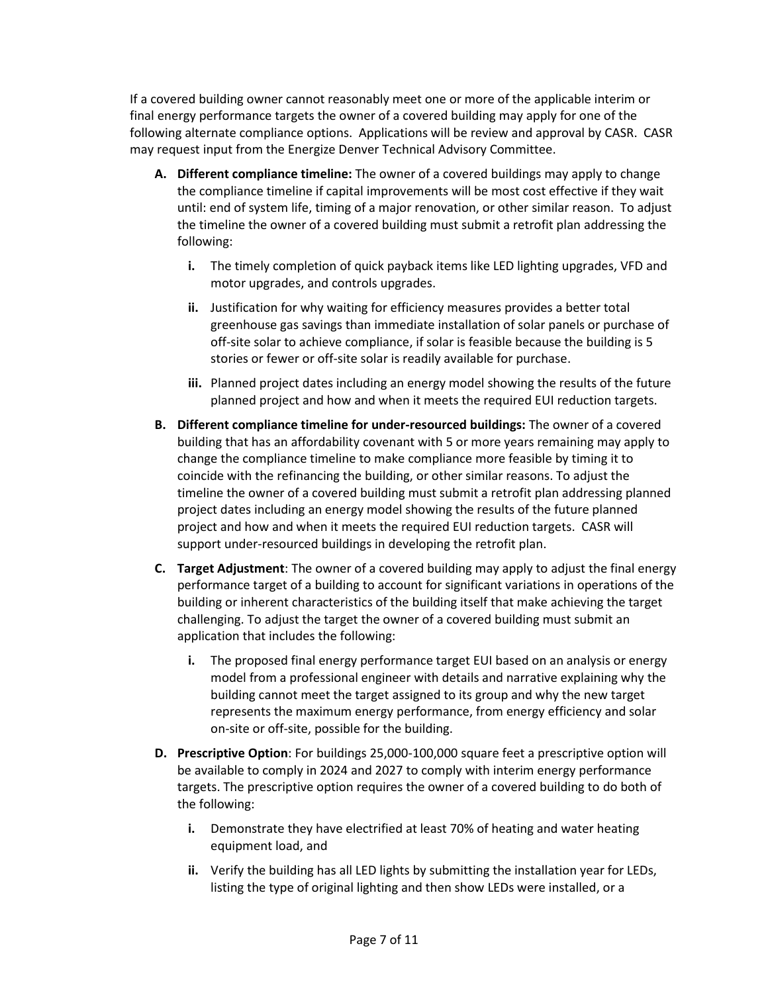If a covered building owner cannot reasonably meet one or more of the applicable interim or final energy performance targets the owner of a covered building may apply for one of the following alternate compliance options. Applications will be review and approval by CASR. CASR may request input from the Energize Denver Technical Advisory Committee.

- **A. Different compliance timeline:** The owner of a covered buildings may apply to change the compliance timeline if capital improvements will be most cost effective if they wait until: end of system life, timing of a major renovation, or other similar reason. To adjust the timeline the owner of a covered building must submit a retrofit plan addressing the following:
	- **i.** The timely completion of quick payback items like LED lighting upgrades, VFD and motor upgrades, and controls upgrades.
	- **ii.** Justification for why waiting for efficiency measures provides a better total greenhouse gas savings than immediate installation of solar panels or purchase of off-site solar to achieve compliance, if solar is feasible because the building is 5 stories or fewer or off-site solar is readily available for purchase.
	- **iii.** Planned project dates including an energy model showing the results of the future planned project and how and when it meets the required EUI reduction targets.
- **B. Different compliance timeline for under-resourced buildings:** The owner of a covered building that has an affordability covenant with 5 or more years remaining may apply to change the compliance timeline to make compliance more feasible by timing it to coincide with the refinancing the building, or other similar reasons. To adjust the timeline the owner of a covered building must submit a retrofit plan addressing planned project dates including an energy model showing the results of the future planned project and how and when it meets the required EUI reduction targets. CASR will support under-resourced buildings in developing the retrofit plan.
- **C. Target Adjustment**: The owner of a covered building may apply to adjust the final energy performance target of a building to account for significant variations in operations of the building or inherent characteristics of the building itself that make achieving the target challenging. To adjust the target the owner of a covered building must submit an application that includes the following:
	- **i.** The proposed final energy performance target EUI based on an analysis or energy model from a professional engineer with details and narrative explaining why the building cannot meet the target assigned to its group and why the new target represents the maximum energy performance, from energy efficiency and solar on-site or off-site, possible for the building.
- **D. Prescriptive Option**: For buildings 25,000-100,000 square feet a prescriptive option will be available to comply in 2024 and 2027 to comply with interim energy performance targets. The prescriptive option requires the owner of a covered building to do both of the following:
	- **i.** Demonstrate they have electrified at least 70% of heating and water heating equipment load, and
	- **ii.** Verify the building has all LED lights by submitting the installation year for LEDs, listing the type of original lighting and then show LEDs were installed, or a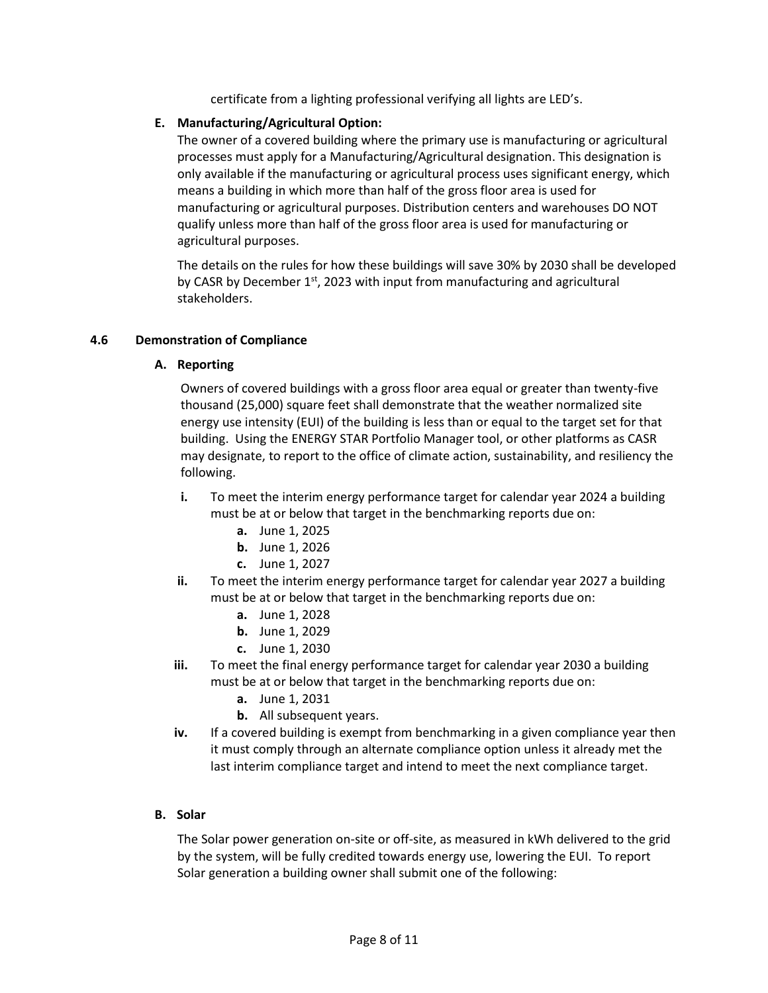certificate from a lighting professional verifying all lights are LED's.

#### **E. Manufacturing/Agricultural Option:**

The owner of a covered building where the primary use is manufacturing or agricultural processes must apply for a Manufacturing/Agricultural designation. This designation is only available if the manufacturing or agricultural process uses significant energy, which means a building in which more than half of the gross floor area is used for manufacturing or agricultural purposes. Distribution centers and warehouses DO NOT qualify unless more than half of the gross floor area is used for manufacturing or agricultural purposes.

The details on the rules for how these buildings will save 30% by 2030 shall be developed by CASR by December 1<sup>st</sup>, 2023 with input from manufacturing and agricultural stakeholders.

#### **4.6 Demonstration of Compliance**

#### **A. Reporting**

Owners of covered buildings with a gross floor area equal or greater than twenty-five thousand (25,000) square feet shall demonstrate that the weather normalized site energy use intensity (EUI) of the building is less than or equal to the target set for that building. Using the ENERGY STAR Portfolio Manager tool, or other platforms as CASR may designate, to report to the office of climate action, sustainability, and resiliency the following.

- **i.** To meet the interim energy performance target for calendar year 2024 a building must be at or below that target in the benchmarking reports due on:
	- **a.** June 1, 2025
	- **b.** June 1, 2026
	- **c.** June 1, 2027
- **ii.** To meet the interim energy performance target for calendar year 2027 a building must be at or below that target in the benchmarking reports due on:
	- **a.** June 1, 2028
	- **b.** June 1, 2029
	- **c.** June 1, 2030
- **iii.** To meet the final energy performance target for calendar year 2030 a building must be at or below that target in the benchmarking reports due on:
	- **a.** June 1, 2031
	- **b.** All subsequent years.
- **iv.** If a covered building is exempt from benchmarking in a given compliance year then it must comply through an alternate compliance option unless it already met the last interim compliance target and intend to meet the next compliance target.

## **B. Solar**

The Solar power generation on-site or off-site, as measured in kWh delivered to the grid by the system, will be fully credited towards energy use, lowering the EUI. To report Solar generation a building owner shall submit one of the following: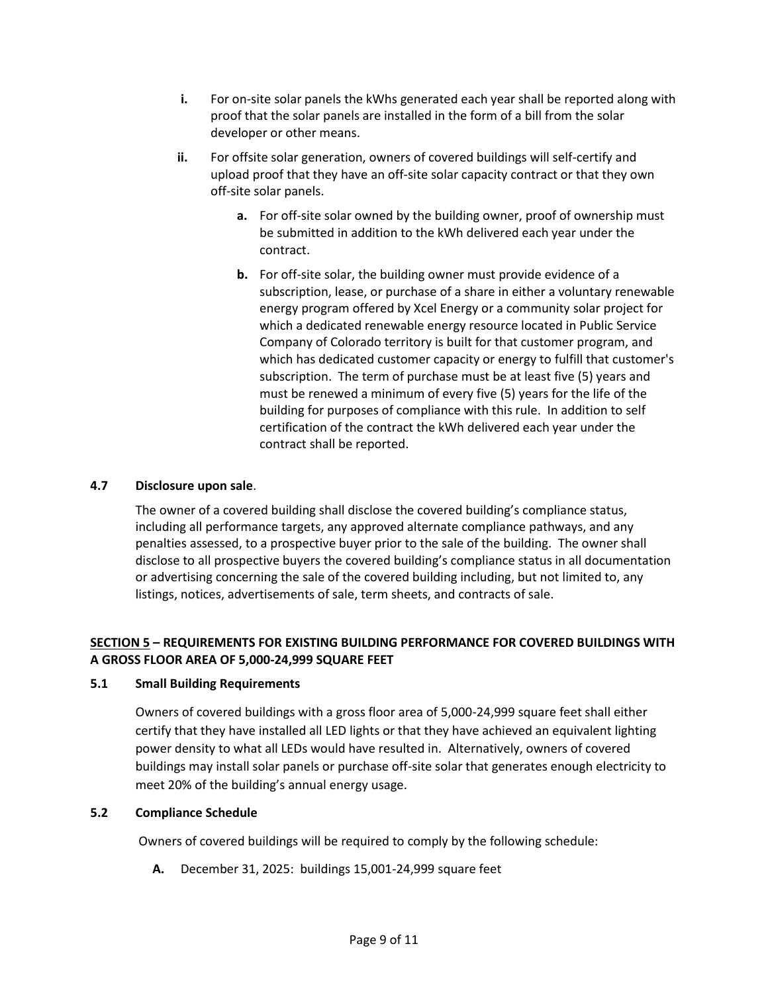- **i.** For on-site solar panels the kWhs generated each year shall be reported along with proof that the solar panels are installed in the form of a bill from the solar developer or other means.
- **ii.** For offsite solar generation, owners of covered buildings will self-certify and upload proof that they have an off-site solar capacity contract or that they own off-site solar panels.
	- **a.** For off-site solar owned by the building owner, proof of ownership must be submitted in addition to the kWh delivered each year under the contract.
	- **b.** For off-site solar, the building owner must provide evidence of a subscription, lease, or purchase of a share in either a voluntary renewable energy program offered by Xcel Energy or a community solar project for which a dedicated renewable energy resource located in Public Service Company of Colorado territory is built for that customer program, and which has dedicated customer capacity or energy to fulfill that customer's subscription. The term of purchase must be at least five (5) years and must be renewed a minimum of every five (5) years for the life of the building for purposes of compliance with this rule. In addition to self certification of the contract the kWh delivered each year under the contract shall be reported.

# **4.7 Disclosure upon sale**.

The owner of a covered building shall disclose the covered building's compliance status, including all performance targets, any approved alternate compliance pathways, and any penalties assessed, to a prospective buyer prior to the sale of the building. The owner shall disclose to all prospective buyers the covered building's compliance status in all documentation or advertising concerning the sale of the covered building including, but not limited to, any listings, notices, advertisements of sale, term sheets, and contracts of sale.

# **SECTION 5 – REQUIREMENTS FOR EXISTING BUILDING PERFORMANCE FOR COVERED BUILDINGS WITH A GROSS FLOOR AREA OF 5,000-24,999 SQUARE FEET**

## **5.1 Small Building Requirements**

Owners of covered buildings with a gross floor area of 5,000-24,999 square feet shall either certify that they have installed all LED lights or that they have achieved an equivalent lighting power density to what all LEDs would have resulted in. Alternatively, owners of covered buildings may install solar panels or purchase off-site solar that generates enough electricity to meet 20% of the building's annual energy usage.

## **5.2 Compliance Schedule**

Owners of covered buildings will be required to comply by the following schedule:

**A.** December 31, 2025: buildings 15,001-24,999 square feet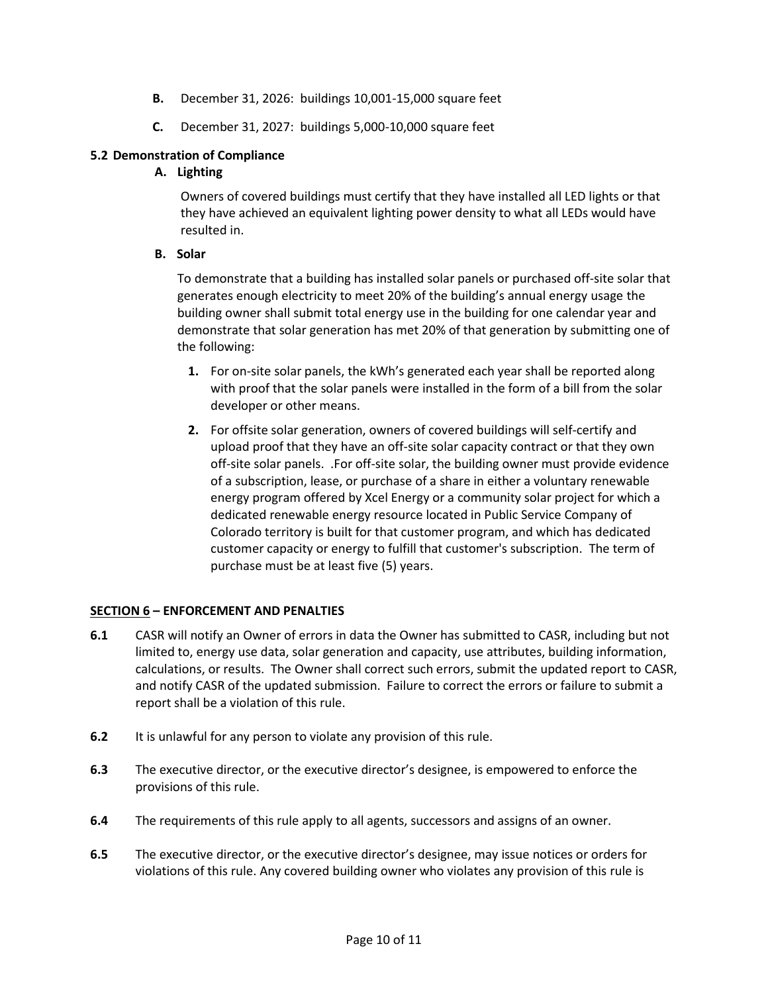- **B.** December 31, 2026: buildings 10,001-15,000 square feet
- **C.** December 31, 2027: buildings 5,000-10,000 square feet

# **5.2 Demonstration of Compliance**

# **A. Lighting**

Owners of covered buildings must certify that they have installed all LED lights or that they have achieved an equivalent lighting power density to what all LEDs would have resulted in.

## **B. Solar**

To demonstrate that a building has installed solar panels or purchased off-site solar that generates enough electricity to meet 20% of the building's annual energy usage the building owner shall submit total energy use in the building for one calendar year and demonstrate that solar generation has met 20% of that generation by submitting one of the following:

- **1.** For on-site solar panels, the kWh's generated each year shall be reported along with proof that the solar panels were installed in the form of a bill from the solar developer or other means.
- **2.** For offsite solar generation, owners of covered buildings will self-certify and upload proof that they have an off-site solar capacity contract or that they own off-site solar panels. .For off-site solar, the building owner must provide evidence of a subscription, lease, or purchase of a share in either a voluntary renewable energy program offered by Xcel Energy or a community solar project for which a dedicated renewable energy resource located in Public Service Company of Colorado territory is built for that customer program, and which has dedicated customer capacity or energy to fulfill that customer's subscription. The term of purchase must be at least five (5) years.

## **SECTION 6 – ENFORCEMENT AND PENALTIES**

- **6.1** CASR will notify an Owner of errors in data the Owner has submitted to CASR, including but not limited to, energy use data, solar generation and capacity, use attributes, building information, calculations, or results. The Owner shall correct such errors, submit the updated report to CASR, and notify CASR of the updated submission. Failure to correct the errors or failure to submit a report shall be a violation of this rule.
- **6.2** It is unlawful for any person to violate any provision of this rule.
- **6.3** The executive director, or the executive director's designee, is empowered to enforce the provisions of this rule.
- **6.4** The requirements of this rule apply to all agents, successors and assigns of an owner.
- **6.5** The executive director, or the executive director's designee, may issue notices or orders for violations of this rule. Any covered building owner who violates any provision of this rule is